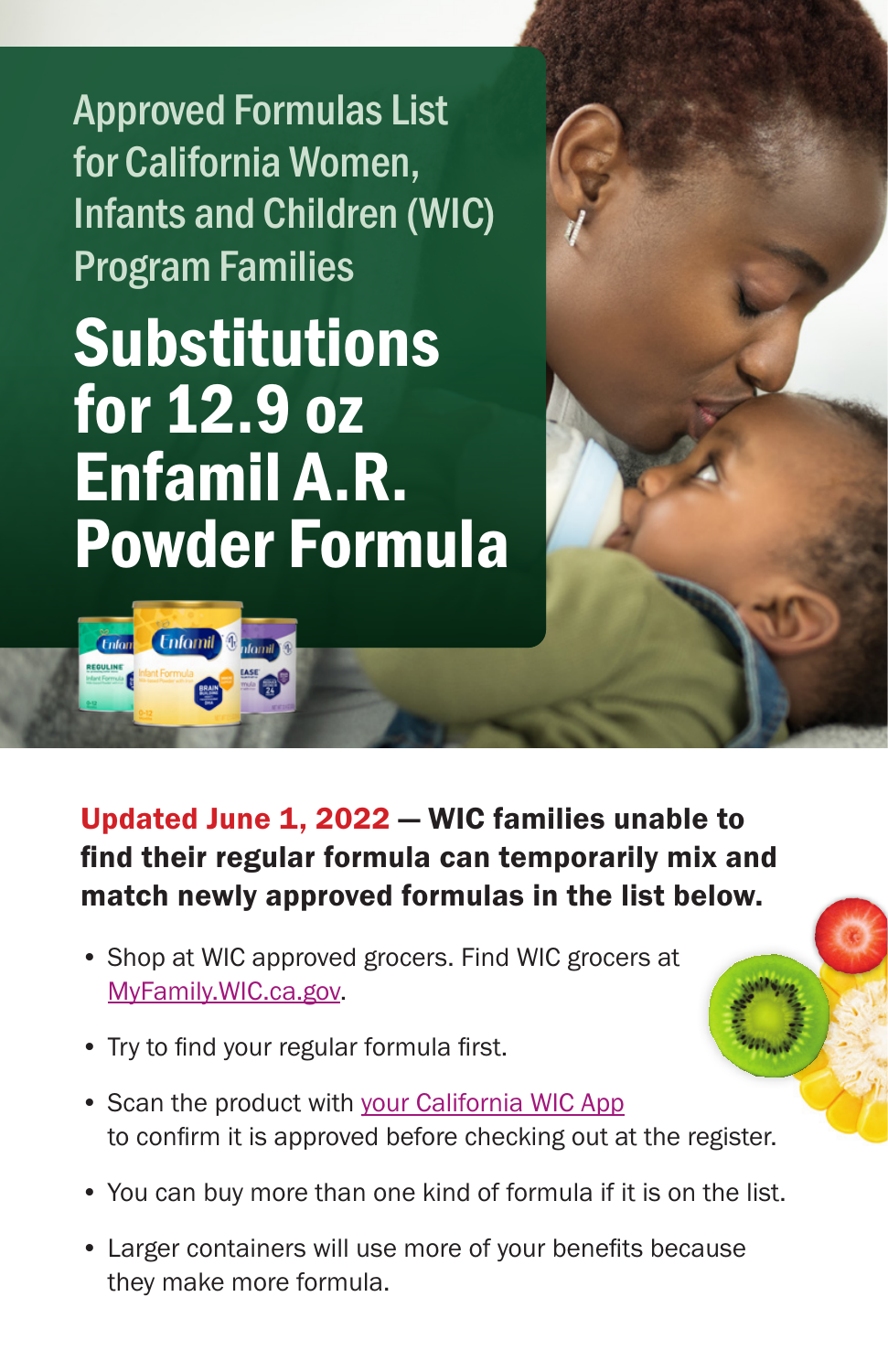Approved Formulas List for California Women, Infants and Children (WIC) Program Families

Substitutions for 12.9 oz Enfamil A.R. Powder Formula

**Enfornil** & donal &

*Cnton* 

Updated June 1, 2022 — WIC families unable to find their regular formula can temporarily mix and match newly approved formulas in the list below.

- Shop at WIC approved grocers. Find WIC grocers at [MyFamily.WIC.ca.gov.](http://MyFamily.WIC.ca.gov)
- Try to find your regular formula first.
- Scan the product with [your California WIC App](https://www.myfamily.wic.ca.gov/Home/WICApp#WICApp)  to confirm it is approved before checking out at the register.
- You can buy more than one kind of formula if it is on the list.
- Larger containers will use more of your benefits because they make more formula.